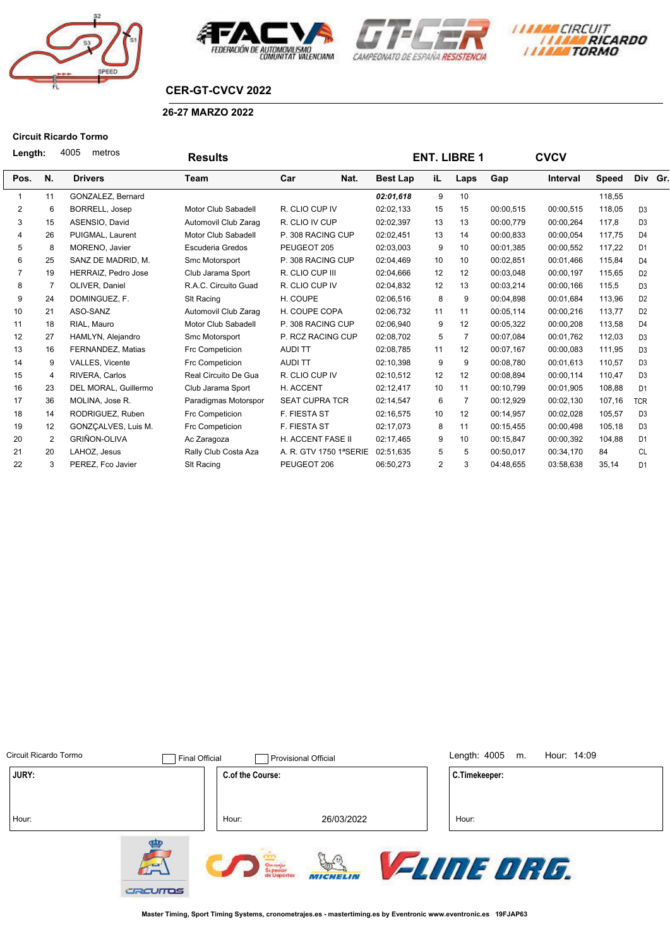







## **CER-GT-CVCV 2022**

## **26-27 MARZO 2022**

### **Circuit Ricardo Tormo**

| Length:        |    | 4005<br>metros        | <b>Results</b>       |                        |                 |                 | <b>ENT. LIBRE 1</b> |           | <b>CVCV</b>     |        |                |  |
|----------------|----|-----------------------|----------------------|------------------------|-----------------|-----------------|---------------------|-----------|-----------------|--------|----------------|--|
| Pos.           | N. | <b>Drivers</b>        | Team                 | Car<br>Nat.            | <b>Best Lap</b> | iL.             | Laps                | Gap       | <b>Interval</b> | Speed  | Div Gr.        |  |
|                | 11 | GONZALEZ, Bernard     |                      |                        | 02:01.618       | 9               | 10                  |           |                 | 118,55 |                |  |
| 2              | 6  | <b>BORRELL, Josep</b> | Motor Club Sabadell  | R. CLIO CUP IV         | 02:02,133       | 15              | 15                  | 00:00,515 | 00:00,515       | 118,05 | D <sub>3</sub> |  |
| 3              | 15 | ASENSIO, David        | Automovil Club Zarag | R. CLIO IV CUP         | 02:02,397       | 13              | 13                  | 00:00,779 | 00:00,264       | 117,8  | D <sub>3</sub> |  |
| 4              | 26 | PUIGMAL, Laurent      | Motor Club Sabadell  | P. 308 RACING CUP      | 02:02,451       | 13              | 14                  | 00:00,833 | 00:00.054       | 117,75 | D <sub>4</sub> |  |
| 5              | 8  | MORENO, Javier        | Escuderia Gredos     | PEUGEOT 205            | 02:03,003       | 9               | 10                  | 00:01,385 | 00:00,552       | 117,22 | D <sub>1</sub> |  |
| 6              | 25 | SANZ DE MADRID, M.    | Smc Motorsport       | P. 308 RACING CUP      | 02:04,469       | 10              | 10                  | 00:02,851 | 00:01,466       | 115,84 | D <sub>4</sub> |  |
| $\overline{7}$ | 19 | HERRAIZ, Pedro Jose   | Club Jarama Sport    | R. CLIO CUP III        | 02:04,666       | 12              | 12                  | 00:03,048 | 00:00,197       | 115,65 | D <sub>2</sub> |  |
| 8              | 7  | OLIVER, Daniel        | R.A.C. Circuito Guad | R. CLIO CUP IV         | 02:04,832       | 12              | 13                  | 00:03,214 | 00:00,166       | 115,5  | D <sub>3</sub> |  |
| 9              | 24 | DOMINGUEZ, F.         | SIt Racing           | H. COUPE               | 02:06,516       | 8               | 9                   | 00:04.898 | 00:01,684       | 113,96 | D <sub>2</sub> |  |
| 10             | 21 | ASO-SANZ              | Automovil Club Zarag | H. COUPE COPA          | 02:06,732       | 11              | 11                  | 00:05,114 | 00:00,216       | 113,77 | D <sub>2</sub> |  |
| 11             | 18 | RIAL. Mauro           | Motor Club Sabadell  | P. 308 RACING CUP      | 02:06,940       | 9               | 12                  | 00:05,322 | 00:00,208       | 113,58 | D <sub>4</sub> |  |
| 12             | 27 | HAMLYN, Alejandro     | Smc Motorsport       | P. RCZ RACING CUP      | 02:08,702       | 5               | 7                   | 00:07,084 | 00:01,762       | 112,03 | D <sub>3</sub> |  |
| 13             | 16 | FERNANDEZ, Matias     | Frc Competicion      | <b>AUDITT</b>          | 02:08,785       | 11              | 12                  | 00:07,167 | 00:00,083       | 111,95 | D <sub>3</sub> |  |
| 14             | 9  | VALLES, Vicente       | Frc Competicion      | <b>AUDITT</b>          | 02:10,398       | 9               | 9                   | 00:08,780 | 00:01,613       | 110,57 | D <sub>3</sub> |  |
| 15             | 4  | RIVERA, Carlos        | Real Circuito De Gua | R. CLIO CUP IV         | 02:10,512       | 12              | 12                  | 00:08,894 | 00:00,114       | 110,47 | D <sub>3</sub> |  |
| 16             | 23 | DEL MORAL, Guillermo  | Club Jarama Sport    | H. ACCENT              | 02:12,417       | 10              | 11                  | 00:10,799 | 00:01,905       | 108,88 | D <sub>1</sub> |  |
| 17             | 36 | MOLINA, Jose R.       | Paradigmas Motorspor | <b>SEAT CUPRA TCR</b>  | 02:14,547       | 6               | 7                   | 00:12,929 | 00:02,130       | 107,16 | <b>TCR</b>     |  |
| 18             | 14 | RODRIGUEZ, Ruben      | Frc Competicion      | <b>F. FIESTA ST</b>    | 02:16,575       | 10 <sup>1</sup> | 12                  | 00:14,957 | 00:02,028       | 105,57 | D <sub>3</sub> |  |
| 19             | 12 | GONZCALVES, Luis M.   | Frc Competicion      | <b>F. FIESTA ST</b>    | 02:17,073       | 8               | 11                  | 00:15,455 | 00:00,498       | 105,18 | D <sub>3</sub> |  |
| 20             | 2  | <b>GRIÑON-OLIVA</b>   | Ac Zaragoza          | H. ACCENT FASE II      | 02:17,465       | 9               | 10                  | 00:15,847 | 00:00,392       | 104,88 | D <sub>1</sub> |  |
| 21             | 20 | LAHOZ, Jesus          | Rally Club Costa Aza | A. R. GTV 1750 1ªSERIE | 02:51,635       | 5               | 5                   | 00:50,017 | 00:34,170       | 84     | <b>CL</b>      |  |
| 22             | 3  | PEREZ. Fco Javier     | <b>SIt Racing</b>    | PEUGEOT 206            | 06:50,273       | 2               | 3                   | 04:48,655 | 03:58,638       | 35,14  | D <sub>1</sub> |  |

| Circuit Ricardo Tormo | <b>Final Official</b>    |                                    | <b>Provisional Official</b> | Length: $4005$<br>Hour: 14:09<br>m. |  |
|-----------------------|--------------------------|------------------------------------|-----------------------------|-------------------------------------|--|
| JURY:                 |                          | <b>C.of the Course:</b>            |                             | C.Timekeeper:                       |  |
| Hour:                 |                          | Hour:                              | 26/03/2022                  | Hour:                               |  |
|                       | $\mathbb{A}$<br>CRCUITOS | Omanju<br>Šuperior<br>de Disportes | ⊕<br>Uni<br><b>MICHELIN</b> | <b><i>FLINE DRG.</i></b>            |  |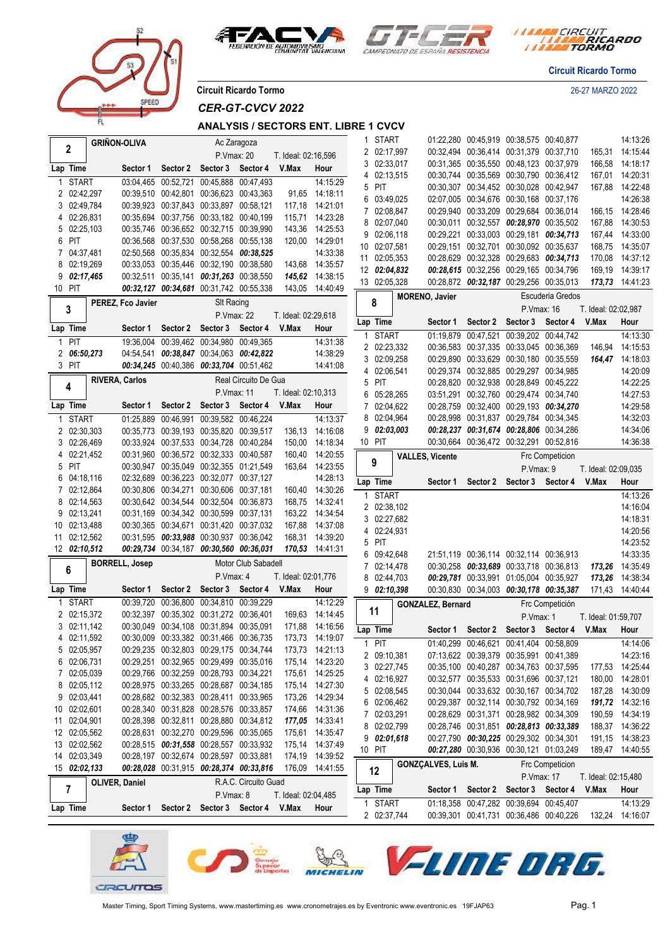



*I MARA CIRCUIT<br>I MARA RICARDO* 

**Circuit Ricardo Tormo**

**Circuit Ricardo Tormo** 26-27 MARZO 2022

PEED

*CER-GT-CVCV 2022*

## **ANALYSIS / SECTORS ENT. LIBRE 1 CVCV**

|    |              | <b>GRIÑON-OLIVA</b>   |                                         |                            | Ac Zaragoza                      |                     |                 | 1            | <b>START</b>               |                          | 01:22,280 00:45,919 00:38,575 00:40,877                                            |                                         |                                         |                     | 14:13:26                           |
|----|--------------|-----------------------|-----------------------------------------|----------------------------|----------------------------------|---------------------|-----------------|--------------|----------------------------|--------------------------|------------------------------------------------------------------------------------|-----------------------------------------|-----------------------------------------|---------------------|------------------------------------|
|    | 2            |                       |                                         | P. Vmax: 20                |                                  | T. Ideal: 02:16,596 |                 |              | 2 02:17,997                |                          | 00:32,494 00:36,414 00:31,379 00:37,710                                            |                                         |                                         |                     | 165,31 14:15:44                    |
|    | Lap Time     | Sector 1              | Sector 2                                | Sector 3 Sector 4          |                                  | V.Max               | Hour            | 3            | 02:33,017                  |                          | 00:31,365 00:35,550 00:48,123 00:37,979                                            |                                         |                                         | 166,58              | 14:18:17                           |
|    | <b>START</b> |                       | 03:04,465 00:52,721 00:45,888 00:47,493 |                            |                                  |                     | 14:15:29        | 4            | 02:13,515                  |                          | 00:30,744 00:35,569 00:30,790 00:36,412                                            |                                         |                                         | 167,01              | 14:20:31                           |
|    | 2 02:42,297  |                       | 00:39,510 00:42,801 00:36,623 00:43,363 |                            |                                  |                     | 91,65 14:18:11  | 5            | PIT                        |                          | 00:30,307 00:34,452 00:30,028 00:42,947                                            |                                         |                                         | 167,88              | 14:22:48                           |
|    | 3 02:49.784  |                       | 00:39.923 00:37.843 00:33.897 00:58.121 |                            |                                  |                     | 117,18 14:21:01 | 6            | 03:49,025                  |                          | 02:07,005 00:34,676 00:30,168 00:37,176                                            |                                         |                                         |                     | 14:26:38                           |
|    | 4 02:26,831  |                       | 00:35,694 00:37,756 00:33,182 00:40,199 |                            |                                  |                     | 115,71 14:23:28 | 7            | 02:08,847                  |                          | 00:29,940 00:33,209 00:29,684 00:36,014                                            |                                         |                                         | 166,15              | 14:28:46                           |
|    | 5 02:25,103  |                       | 00:35,746 00:36,652 00:32,715 00:39,990 |                            |                                  |                     | 143,36 14:25:53 |              | 8 02:07,040                |                          | 00:30,011 00:32,557 00:28,970 00:35,502                                            |                                         |                                         |                     | 167,88 14:30:53                    |
| 6  | PIT          |                       | 00:36,568 00:37,530 00:58,268 00:55,138 |                            |                                  |                     | 120,00 14:29:01 | 9            | 02:06,118                  |                          | 00:29,221 00:33,003 00:29,181 00:34,713                                            |                                         |                                         |                     | 167,44 14:33:00                    |
|    | 7 04:37,481  |                       | 02:50,568 00:35,834 00:32,554 00:38,525 |                            |                                  |                     | 14:33:38        |              | 10 02:07,581               |                          | 00:29,151 00:32,701 00:30,092 00:35,637                                            |                                         |                                         | 168,75              | 14:35:07                           |
|    | 8 02:19,269  |                       | 00:33,053 00:35,446 00:32,190 00:38,580 |                            |                                  |                     | 143,68 14:35:57 |              | 11 02:05,353               |                          | 00:28,629 00:32,328 00:29,683 00:34,713                                            |                                         |                                         | 170,08              | 14:37:12                           |
| 9  | 02:17,465    |                       | 00:32,511 00:35,141 00:31,263 00:38,550 |                            |                                  |                     | 145,62 14:38:15 |              | 12 02:04,832               |                          | 00:28,615 00:32,256 00:29,165 00:34,796                                            |                                         |                                         | 169,19              | 14:39:17                           |
|    | 10 PIT       |                       | 00:32,127 00:34,681 00:31,742 00:55,338 |                            |                                  |                     | 143,05 14:40:49 |              | 13 02:05,328               |                          | 00:28,872 00:32,187 00:29,256 00:35,013                                            |                                         |                                         |                     | 173,73 14:41:23                    |
|    |              | PEREZ, Fco Javier     |                                         | SIt Racing                 |                                  |                     |                 |              | 8                          | <b>MORENO, Javier</b>    |                                                                                    |                                         | Escuderia Gredos                        |                     |                                    |
|    | 3            |                       |                                         | P. Vmax: 22                |                                  | T. Ideal: 02:29,618 |                 |              |                            |                          |                                                                                    | P.Vmax: 16                              |                                         | T. Ideal: 02:02,987 |                                    |
|    | Lap Time     | Sector 1              |                                         | Sector 2 Sector 3          | Sector 4                         | V.Max               | Hour            |              | Lap Time                   | Sector 1                 |                                                                                    | Sector 2 Sector 3 Sector 4              |                                         | V.Max               | Hour                               |
| 1  | PIT          |                       | 19:36,004 00:39,462 00:34,980 00:49,365 |                            |                                  |                     | 14:31:38        | $\mathbf{1}$ | <b>START</b>               | 01:19,879                | 00:47,521 00:39,202 00:44,742                                                      |                                         |                                         |                     | 14:13:30                           |
|    | 2 06:50,273  |                       | 04:54,541 00:38,847 00:34,063 00:42,822 |                            |                                  |                     | 14:38:29        |              | 2 02:23,332                |                          | 00:36,583 00:37,335 00:33,045 00:36,369                                            |                                         |                                         | 146,94              | 14:15:53                           |
|    | 3 PIT        |                       | 00:34,245 00:40,386 00:33,704 00:51,462 |                            |                                  |                     | 14:41:08        |              | 3 02:09,258                |                          | 00:29,890 00:33,629 00:30,180 00:35,559                                            |                                         |                                         |                     | 164,47 14:18:03                    |
|    |              |                       |                                         |                            |                                  |                     |                 | 4            | 02:06,541                  |                          | 00:29,374 00:32,885 00:29,297 00:34,985                                            |                                         |                                         |                     | 14:20:09                           |
|    | 4            | <b>RIVERA, Carlos</b> |                                         |                            | Real Circuito De Gua             |                     |                 | 5            | PIT                        |                          | 00:28,820 00:32,938 00:28,849 00:45,222                                            |                                         |                                         |                     | 14:22:25                           |
|    |              |                       |                                         | P.Vmax: 11                 |                                  | T. Ideal: 02:10,313 |                 | 6            | 05:28,265                  |                          | 03:51,291 00:32,760 00:29,474 00:34,740                                            |                                         |                                         |                     | 14:27:53                           |
|    | Lap Time     | Sector 1              |                                         | Sector 2 Sector 3 Sector 4 |                                  | V.Max               | Hour            | 7            | 02:04,622                  |                          |                                                                                    |                                         | 00:28,759 00:32,400 00:29,193 00:34,270 |                     | 14:29:58                           |
|    | <b>START</b> |                       | 01:25,889 00:46,991 00:39,582 00:46,224 |                            |                                  |                     | 14:13:37        |              | 8 02:04,964                |                          | 00:28,998 00:31,837 00:29,784 00:34,345                                            |                                         |                                         |                     | 14:32:03                           |
|    | 2 02:30,303  |                       | 00:35,773 00:39,193 00:35,820 00:39,517 |                            |                                  |                     | 136,13 14:16:08 |              | 902:03,003                 |                          | 00:28,237 00:31,674 00:28,806 00:34,286                                            |                                         |                                         |                     | 14:34:06                           |
|    | 3 02:26,469  |                       | 00:33,924 00:37,533 00:34,728 00:40,284 |                            |                                  |                     | 150,00 14:18:34 |              | 10 PIT                     |                          | 00:30,664 00:36,472 00:32,291 00:52,816                                            |                                         |                                         |                     | 14:36:38                           |
|    | 4 02:21,452  |                       | 00:31,960 00:36,572 00:32,333 00:40,587 |                            |                                  |                     | 160,40 14:20:55 |              |                            | <b>VALLES, Vicente</b>   |                                                                                    |                                         | <b>Frc Competicion</b>                  |                     |                                    |
| 5  | PIT          |                       | 00:30,947 00:35,049 00:32,355 01:21,549 |                            |                                  |                     | 163,64 14:23:55 |              | 9                          |                          |                                                                                    | P.Vmax: 9                               |                                         | T. Ideal: 02:09,035 |                                    |
| 6  | 04:18,116    |                       | 02:32,689 00:36,223 00:32,077 00:37,127 |                            |                                  |                     | 14:28:13        |              | Lap Time                   | Sector 1                 |                                                                                    |                                         | Sector 2 Sector 3 Sector 4              | V.Max               | Hour                               |
|    | 7 02:12,864  |                       | 00:30,806 00:34,271 00:30,606 00:37,181 |                            |                                  |                     | 160,40 14:30:26 | $\mathbf{1}$ | <b>START</b>               |                          |                                                                                    |                                         |                                         |                     | 14:13:26                           |
| 8  | 02:14,563    |                       | 00:30,642 00:34,544 00:32,504 00:36,873 |                            |                                  |                     | 168,75 14:32:41 |              | 2 02:38,102                |                          |                                                                                    |                                         |                                         |                     | 14:16:04                           |
| 9  | 02:13,241    |                       | 00:31,169 00:34,342 00:30,599 00:37,131 |                            |                                  |                     | 163,22 14:34:54 |              | 3 02:27,682                |                          |                                                                                    |                                         |                                         |                     | 14:18:31                           |
| 10 | 02:13,488    |                       | 00:30,365 00:34,671 00:31,420 00:37,032 |                            |                                  |                     | 167,88 14:37:08 |              | 4 02:24,931                |                          |                                                                                    |                                         |                                         |                     | 14:20:56                           |
|    | 11 02:12,562 |                       | 00:31,595 00:33,988 00:30,937 00:36,042 |                            |                                  |                     | 168,31 14:39:20 |              | 5 PIT                      |                          |                                                                                    |                                         |                                         |                     | 14:23:52                           |
|    | 12 02:10,512 |                       | 00:29,734 00:34,187 00:30,560 00:36,031 |                            |                                  |                     | 170,53 14:41:31 |              | 6 09:42,648                |                          | 21:51,119 00:36,114 00:32,114 00:36,913                                            |                                         |                                         |                     | 14:33:35                           |
|    | 6            | <b>BORRELL, Josep</b> |                                         |                            | Motor Club Sabadell              |                     |                 |              | 7 02:14,478                |                          |                                                                                    |                                         | 00:30,258 00:33,689 00:33,718 00:36,813 | 173,26              | 14:35:49                           |
|    |              |                       |                                         | P.Vmax: 4                  |                                  | T. Ideal: 02:01,776 |                 |              | 8 02:44,703                |                          | 00:29,781 00:33,991 01:05,004 00:35,927                                            |                                         |                                         | 173,26              | 14:38:34                           |
|    | Lap Time     | Sector 1              |                                         | Sector 2 Sector 3 Sector 4 |                                  | V.Max               | Hour            |              | 902:10.398                 |                          | 00:30,830 00:34,003 00:30,178 00:35,387                                            |                                         |                                         |                     | 171.43 14:40:44                    |
|    | <b>START</b> |                       | 00:39,720 00:36,800 00:34,810 00:39,229 |                            |                                  |                     | 14:12:29        |              |                            | <b>GONZALEZ, Bernard</b> |                                                                                    |                                         | Frc Competición                         |                     |                                    |
|    | 2 02:15,372  |                       | 00:32,397 00:35,302 00:31,272 00:36,401 |                            |                                  |                     | 169,63 14:14:45 |              | 11                         |                          |                                                                                    | P.Vmax: 1                               |                                         | T. Ideal: 01:59,707 |                                    |
|    | 3 02:11,142  |                       | 00:30,049 00:34,108 00:31,894 00:35,091 |                            |                                  |                     | 171,88 14:16:56 |              | Lap Time                   |                          | Sector 1 Sector 2 Sector 3 Sector 4                                                |                                         |                                         | V.Max               | Hour                               |
|    | 4 02:11,592  |                       | 00:30,009 00:33,382 00:31,466 00:36,735 |                            |                                  |                     | 173,73 14:19:07 |              | $1$ PIT                    |                          | 01:40,299 00:46,621 00:41,404 00:58,809                                            |                                         |                                         |                     | 14:14:06                           |
|    | 5 02:05,957  |                       | 00:29,235 00:32,803 00:29,175 00:34,744 |                            |                                  |                     | 173,73 14:21:13 |              | 2 09:10,381                |                          | 07:13,622 00:39,379 00:35,991 00:41,389                                            |                                         |                                         |                     | 14:23:16                           |
|    |              |                       |                                         |                            |                                  |                     | 175,14 14:23:20 |              | 3 02:27,745                |                          |                                                                                    |                                         |                                         |                     | 177,53 14:25:44                    |
| 6  | 02:06,731    |                       | 00:29.251 00:32.965 00:29.499 00:35.016 |                            |                                  |                     |                 |              |                            |                          |                                                                                    |                                         |                                         |                     |                                    |
| 7  | 02:05,039    |                       | 00:29,766 00:32,259 00:28,793 00:34,221 |                            |                                  |                     | 175,61 14:25:25 |              |                            |                          |                                                                                    | 00:35,100 00:40,287 00:34,763 00:37,595 |                                         |                     |                                    |
| 8  | 02:05,112    |                       | 00:28,975 00:33,265 00:28,687 00:34,185 |                            |                                  |                     | 175,14 14:27:30 |              | 4 02:16,927                |                          | 00:32,577 00:35,533 00:31,696 00:37,121                                            |                                         |                                         |                     | 180,00 14:28:01                    |
| 9  | 02:03,441    |                       | 00:28,682 00:32,383 00:28,411 00:33,965 |                            |                                  |                     | 173,26 14:29:34 |              | 5 02:08,545                |                          | 00:30,044 00:33,632 00:30,167 00:34,702                                            |                                         |                                         |                     | 187,28 14:30:09                    |
| 10 | 02:02,601    |                       | 00:28,340 00:31,828 00:28,576 00:33,857 |                            |                                  |                     | 174,66 14:31:36 |              | 6 02:06,462<br>7 02:03,291 |                          | 00:29,387 00:32,114 00:30,792 00:34,169                                            |                                         |                                         |                     | 191,72 14:32:16                    |
| 11 | 02:04,901    |                       | 00:28,398 00:32,811 00:28,880 00:34,812 |                            |                                  |                     | 177,05 14:33:41 |              | 8 02:02,799                |                          | 00:28,629 00:31,371 00:28,982 00:34,309<br>00:28,746 00:31,851 00:28,813 00:33,389 |                                         |                                         |                     | 190,59 14:34:19<br>188,37 14:36:22 |
|    | 12 02:05,562 |                       | 00:28,631 00:32,270 00:29,596 00:35,065 |                            |                                  |                     | 175,61 14:35:47 |              | 902:01,618                 |                          | 00:27,790 00:30,225 00:29,302 00:34,301                                            |                                         |                                         |                     | 191,15 14:38:23                    |
|    | 13 02:02,562 |                       | 00:28,515 00:31,558 00:28,557 00:33,932 |                            |                                  |                     | 175,14 14:37:49 |              | 10 PIT                     |                          | 00:27,280 00:30,936 00:30,121 01:03,249                                            |                                         |                                         |                     | 189,47 14:40:55                    |
|    | 14 02:03,349 |                       | 00:28,197 00:32,674 00:28,597 00:33,881 |                            |                                  |                     | 174,19 14:39:52 |              |                            |                          |                                                                                    |                                         |                                         |                     |                                    |
|    | 15 02:02,133 |                       | 00:28,028 00:31,915 00:28,374 00:33,816 |                            |                                  |                     | 176,09 14:41:55 |              | 12                         | GONZÇALVES, Luis M.      |                                                                                    |                                         | Frc Competicion                         |                     |                                    |
|    |              | <b>OLIVER, Daniel</b> |                                         |                            | R.A.C. Circuito Guad             |                     |                 |              |                            |                          |                                                                                    | P.Vmax: 17                              |                                         | T. Ideal: 02:15,480 |                                    |
|    | 7            |                       |                                         | P.Vmax: 8                  |                                  | T. Ideal: 02:04,485 |                 |              | Lap Time                   | Sector 1                 | Sector 2 Sector 3 Sector 4                                                         |                                         |                                         | V.Max               | Hour                               |
|    | Lap Time     | Sector 1              |                                         |                            | Sector 2 Sector 3 Sector 4 V.Max |                     | Hour            |              | 1 START<br>2 02:37,744     |                          | 01:18,358 00:47,282 00:39,694 00:45,407<br>00:39,301 00:41,731 00:36,486 00:40,226 |                                         |                                         |                     | 14:13:29<br>132,24 14:16:07        |

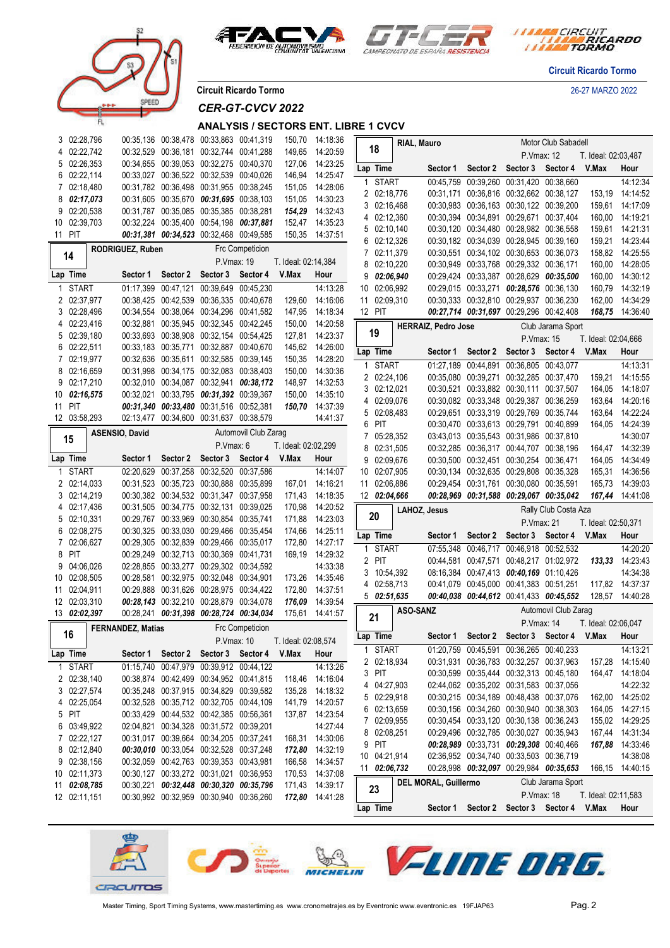

prer



*I TARA CIRCUIT<br>I TARA RICARDO* 

**Circuit Ricardo Tormo**

**Circuit Ricardo Tormo** 26-27 MARZO 2022

*CER-GT-CVCV 2022*

## **ANALYSIS / SECTORS ENT. LIBRE 1 CVCV**

|    | 3 02:28,796  |                          | 00:35,136 00:38,478 00:33,863 00:41,319   |            |                                         |                     | 150,70 14:18:36 |                |              | RIAL, Mauro     |                            |                                         |                   | Motor Club Sabadell                       |                     |                             |
|----|--------------|--------------------------|-------------------------------------------|------------|-----------------------------------------|---------------------|-----------------|----------------|--------------|-----------------|----------------------------|-----------------------------------------|-------------------|-------------------------------------------|---------------------|-----------------------------|
|    | 4 02:22,742  |                          | 00:32,529 00:36,181 00:32,744 00:41,288   |            |                                         | 149,65              | 14:20:59        |                | 18           |                 |                            |                                         | P.Vmax: 12        |                                           | T. Ideal: 02:03,487 |                             |
|    | 5 02:26,353  |                          | 00:34,655 00:39,053 00:32,275 00:40,370   |            |                                         | 127,06              | 14:23:25        |                | Lap Time     |                 | Sector 1                   | Sector 2 Sector 3                       |                   | Sector 4                                  | V.Max               | Hour                        |
|    | 6 02:22,114  |                          | 00:33,027 00:36,522 00:32,539 00:40,026   |            |                                         | 146,94              | 14:25:47        | 1              | <b>START</b> |                 |                            | 00:45,759 00:39,260 00:31,420 00:38,660 |                   |                                           |                     | 14:12:34                    |
|    | 7 02:18,480  |                          | 00:31,782 00:36,498 00:31,955 00:38,245   |            |                                         | 151,05              | 14:28:06        |                | 2 02:18,776  |                 |                            | 00:31,171 00:36,816 00:32,662 00:38,127 |                   |                                           | 153,19              | 14:14:52                    |
|    | 8 02:17,073  |                          | 00:31,605 00:35,670 00:31,695 00:38,103   |            |                                         | 151,05              | 14:30:23        |                | 3 02:16,468  |                 |                            | 00:30.983 00:36.163 00:30.122 00:39.200 |                   |                                           | 159,61              | 14:17:09                    |
|    | 9 02:20,538  |                          | 00:31,787 00:35,085 00:35,385 00:38,281   |            |                                         |                     | 154,29 14:32:43 |                | 4 02:12,360  |                 |                            | 00:30,394 00:34,891 00:29,671 00:37,404 |                   |                                           | 160,00              | 14:19:21                    |
|    | 10 02:39,703 |                          | 00:32,224 00:35,400 00:54,198 00:37,881   |            |                                         |                     | 152,47 14:35:23 |                | 5 02:10,140  |                 |                            | 00:30,120 00:34,480 00:28,982 00:36,558 |                   |                                           | 159,61              | 14:21:31                    |
|    | 11 PIT       |                          | 00:31,381 00:34,523 00:32,468 00:49,585   |            |                                         | 150,35              | 14:37:51        |                | 6 02:12,326  |                 |                            | 00:30,182 00:34,039 00:28,945 00:39,160 |                   |                                           | 159,21              | 14:23:44                    |
|    |              | RODRIGUEZ, Ruben         |                                           |            | <b>Frc Competicion</b>                  |                     |                 |                | 7 02:11,379  |                 |                            | 00:30,551 00:34,102 00:30,653 00:36,073 |                   |                                           | 158,82              | 14:25:55                    |
|    | 14           |                          |                                           | P.Vmax: 19 |                                         | T. Ideal: 02:14,384 |                 | 8              | 02:10,220    |                 |                            | 00:30,949 00:33,768 00:29,332 00:36,171 |                   |                                           | 160,00              | 14:28:05                    |
|    | Lap Time     | Sector 1                 | Sector 2                                  | Sector 3   | Sector 4                                | V.Max               | Hour            | 9              | 02:06,940    |                 |                            | 00:29.424 00:33.387 00:28.629 00:35.500 |                   |                                           | 160,00              | 14:30:12                    |
|    | <b>START</b> |                          | 01:17,399 00:47,121 00:39,649 00:45,230   |            |                                         |                     | 14:13:28        |                | 10 02:06,992 |                 |                            | 00:29,015 00:33,271 00:28,576 00:36,130 |                   |                                           | 160,79              | 14:32:19                    |
|    | 2 02:37,977  |                          | 00:38,425 00:42,539 00:36,335 00:40,678   |            |                                         | 129,60              | 14:16:06        |                | 11 02:09,310 |                 |                            | 00:30,333 00:32,810 00:29,937 00:36,230 |                   |                                           | 162,00              | 14:34:29                    |
|    | 3 02:28,496  |                          | 00:34,554 00:38,064 00:34,296 00:41,582   |            |                                         | 147,95              | 14:18:34        |                | 12 PIT       |                 |                            | 00:27,714 00:31,697 00:29,296 00:42,408 |                   |                                           |                     | 168,75 14:36:40             |
|    | 4 02:23,416  |                          | 00:32,881 00:35,945 00:32,345 00:42,245   |            |                                         | 150,00              | 14:20:58        |                |              |                 |                            |                                         |                   |                                           |                     |                             |
|    | 5 02:39,180  |                          | 00:33,693 00:38,908 00:32,154 00:54,425   |            |                                         | 127,81              | 14:23:37        |                | 19           |                 | <b>HERRAIZ, Pedro Jose</b> |                                         |                   | Club Jarama Sport                         |                     |                             |
|    | 6 02:22,511  |                          | 00:33,183 00:35,771 00:32,887 00:40,670   |            |                                         |                     | 145,62 14:26:00 |                |              |                 |                            |                                         | P.Vmax: 15        |                                           | T. Ideal: 02:04,666 |                             |
|    | 7 02:19,977  |                          | 00:32,636 00:35,611 00:32,585 00:39,145   |            |                                         | 150,35              | 14:28:20        |                | Lap Time     |                 | Sector 1                   | Sector 2                                | Sector 3          | Sector 4                                  | V.Max               | Hour                        |
|    | 8 02:16,659  |                          | 00:31,998 00:34,175 00:32,083 00:38,403   |            |                                         |                     | 150,00 14:30:36 | 1              | <b>START</b> |                 |                            | 01:27,189 00:44,891 00:36,805 00:43,077 |                   |                                           |                     | 14:13:31                    |
| 9  | 02:17,210    |                          | 00:32,010 00:34,087 00:32,941 00:38,172   |            |                                         | 148,97              | 14:32:53        |                | 2 02:24,106  |                 |                            | 00:35,080 00:39,271 00:32,285 00:37,470 |                   |                                           | 159,21              | 14:15:55                    |
|    | 02:16,575    |                          | 00:32,021 00:33,795 00:31,392 00:39,367   |            |                                         | 150,00              | 14:35:10        |                | 3 02:12,021  |                 |                            | 00:30,521 00:33,882 00:30,111 00:37,507 |                   |                                           | 164,05              | 14:18:07                    |
| 10 | 11 PIT       |                          | 00:31,340 00:33,480 00:31,516 00:52,381   |            |                                         |                     |                 |                | 4 02:09,076  |                 |                            | 00:30,082 00:33,348 00:29,387 00:36,259 |                   |                                           | 163,64              | 14:20:16                    |
|    |              |                          | 02:13,477 00:34,600 00:31,637 00:38,579   |            |                                         |                     | 150,70 14:37:39 |                | 5 02:08,483  |                 |                            | 00:29,651 00:33,319 00:29,769 00:35,744 |                   |                                           | 163,64              | 14:22:24                    |
|    | 12 03:58,293 |                          |                                           |            |                                         |                     | 14:41:37        | 6              | PIT          |                 |                            | 00:30,470 00:33,613 00:29,791 00:40,899 |                   |                                           | 164,05              | 14:24:39                    |
|    | 15           | <b>ASENSIO, David</b>    |                                           |            | Automovil Club Zarag                    |                     |                 |                | 7 05:28,352  |                 |                            | 03:43,013 00:35,543 00:31,986 00:37,810 |                   |                                           |                     | 14:30:07                    |
|    |              |                          |                                           | P.Vmax: 6  |                                         | T. Ideal: 02:02,299 |                 |                | 8 02:31,505  |                 |                            | 00:32,285 00:36,317 00:44,707 00:38,196 |                   |                                           |                     | 164,47 14:32:39             |
|    | Lap Time     | Sector 1                 | Sector 2 Sector 3                         |            | Sector 4                                | V.Max               | Hour            |                | 9 02:09,676  |                 |                            | 00:30,500 00:32,451 00:30,254 00:36,471 |                   |                                           | 164,05              | 14:34:49                    |
| 1  | <b>START</b> |                          | 02:20,629 00:37,258 00:32,520 00:37,586   |            |                                         |                     | 14:14:07        |                | 10 02:07,905 |                 |                            | 00:30,134 00:32,635 00:29,808 00:35,328 |                   |                                           | 165,31              | 14:36:56                    |
|    | 2 02:14,033  |                          | 00:31,523 00:35,723 00:30,888 00:35,899   |            |                                         |                     | 167,01 14:16:21 |                | 11 02:06,886 |                 |                            | 00:29,454 00:31,761 00:30,080 00:35,591 |                   |                                           | 165,73              | 14:39:03                    |
|    | 3 02:14,219  |                          | 00:30,382 00:34,532 00:31,347 00:37,958   |            |                                         |                     | 171,43 14:18:35 |                | 12 02:04,666 |                 |                            | 00:28,969 00:31,588 00:29,067 00:35,042 |                   |                                           |                     | 167,44 14:41:08             |
|    | 4 02:17,436  |                          | 00:31,505 00:34,775 00:32,131 00:39,025   |            |                                         | 170,98              | 14:20:52        |                |              | LAHOZ, Jesus    |                            |                                         |                   | Rally Club Costa Aza                      |                     |                             |
|    | 5 02:10,331  |                          | 00:29,767 00:33,969 00:30,854 00:35,741   |            |                                         |                     | 171,88 14:23:03 |                | 20           |                 |                            |                                         | P. Vmax: 21       |                                           | T. Ideal: 02:50,371 |                             |
| 6  | 02:08,275    |                          | 00:30,325 00:33,030 00:29,466 00:35,454   |            |                                         | 174,66              | 14:25:11        |                | Lap Time     |                 | Sector 1                   |                                         | Sector 2 Sector 3 | Sector 4 V.Max                            |                     | Hour                        |
|    | 7 02:06,627  |                          |                                           |            |                                         |                     |                 |                |              |                 |                            |                                         |                   |                                           |                     |                             |
|    |              |                          |                                           |            | 00:29,305 00:32,839 00:29,466 00:35,017 | 172,80              | 14:27:17        |                |              |                 |                            |                                         |                   |                                           |                     |                             |
| 9  | 8 PIT        |                          | 00:29,249 00:32,713 00:30,369 00:41,731   |            |                                         | 169,19              | 14:29:32        | $\overline{1}$ | <b>START</b> |                 |                            | 07:55,348 00:46,717 00:46,918 00:52,532 |                   |                                           |                     | 14:20:20                    |
|    | 04:06,026    |                          | 02:28,855 00:33,277 00:29,302 00:34,592   |            |                                         |                     | 14:33:38        |                | 2 PIT        |                 |                            | 00:44,581 00:47,571 00:48,217 01:02,972 |                   |                                           | 133,33              | 14:23:43                    |
|    | 10 02:08,505 |                          | 00:28,581 00:32,975 00:32,048 00:34,901   |            |                                         | 173,26              | 14:35:46        |                | 3 10:54,392  |                 |                            | 08:16,384 00:47,413 00:40,169 01:10,426 |                   |                                           |                     | 14:34:38                    |
|    | 11 02:04,911 |                          | 00:29,888 00:31,626 00:28,975 00:34,422   |            |                                         | 172,80              | 14:37:51        |                | 4 02:58,713  |                 |                            | 00:41.079 00:45.000 00:41.383 00:51.251 |                   |                                           | 117,82              | 14:37:37                    |
|    | 12 02:03,310 |                          | 00:28,143 00:32,210 00:28,879 00:34,078   |            |                                         | 176,09              | 14:39:54        |                | 502:51,635   |                 |                            | 00:40,038 00:44,612 00:41,433 00:45,552 |                   |                                           | 128,57              | 14:40:28                    |
|    | 13 02:02,397 |                          | 00:28,241 00:31,398 00:28,724 00:34,034   |            |                                         |                     | 175,61 14:41:57 |                |              | <b>ASO-SANZ</b> |                            |                                         |                   | Automovil Club Zarag                      |                     |                             |
|    |              |                          |                                           |            |                                         |                     |                 |                | 21           |                 |                            |                                         | P.Vmax: 14        |                                           | T. Ideal: 02:06,047 |                             |
|    | 16           | <b>FERNANDEZ, Matias</b> |                                           |            | <b>Frc Competicion</b>                  |                     |                 |                | Lap Time     |                 |                            | Sector 1 Sector 2                       |                   | Sector 3 Sector 4 V.Max                   |                     | Hour                        |
|    |              |                          |                                           | P.Vmax: 10 |                                         | T. Ideal: 02:08,574 |                 |                | 1 START      |                 |                            | 01:20,759 00:45,591 00:36,265 00:40,233 |                   |                                           |                     | 14:13:21                    |
|    | Lap Time     |                          | Sector 1 Sector 2 Sector 3 Sector 4 V.Max |            |                                         |                     | Hour            |                | 2 02:18,934  |                 |                            | 00:31,931 00:36,783 00:32,257 00:37,963 |                   |                                           |                     | 157,28 14:15:40             |
|    | 1 START      |                          | 01:15,740 00:47,979 00:39,912 00:44,122   |            |                                         |                     | 14:13:26        |                | 3 PIT        |                 |                            | 00:30,599 00:35,444 00:32,313 00:45,180 |                   |                                           |                     | 164,47 14:18:04             |
|    | 2 02:38,140  |                          | 00:38,874 00:42,499 00:34,952 00:41,815   |            |                                         |                     | 118,46 14:16:04 |                | 4 04:27,903  |                 |                            | 02:44,062 00:35,202 00:31,583 00:37,056 |                   |                                           |                     | 14:22:32                    |
|    | 3 02:27,574  |                          | 00:35.248 00:37.915 00:34.829 00:39.582   |            |                                         |                     | 135,28 14:18:32 |                | 5 02:29,918  |                 |                            | 00:30,215 00:34,189 00:48,438 00:37,076 |                   |                                           |                     | 162,00 14:25:02             |
|    | 4 02:25,054  |                          | 00:32,528 00:35,712 00:32,705 00:44,109   |            |                                         |                     | 141,79 14:20:57 |                | 6 02:13,659  |                 |                            | 00:30,156 00:34,260 00:30,940 00:38,303 |                   |                                           |                     | 164,05 14:27:15             |
|    | 5 PIT        |                          | 00:33,429 00:44,532 00:42,385 00:56,361   |            |                                         |                     | 137,87 14:23:54 |                | 7 02:09,955  |                 |                            | 00:30,454 00:33,120 00:30,138 00:36,243 |                   |                                           |                     | 155,02 14:29:25             |
|    | 6 03:49,922  |                          | 02:04,821 00:34,328 00:31,572 00:39,201   |            |                                         |                     | 14:27:44        |                | 8 02:08,251  |                 |                            | 00:29,496 00:32,785 00:30,027 00:35,943 |                   |                                           |                     | 167,44 14:31:34             |
|    | 7 02:22,127  |                          | 00:31.017 00:39.664 00:34.205 00:37.241   |            |                                         |                     | 168,31 14:30:06 |                | 9 PIT        |                 |                            | 00:28,989 00:33,731 00:29,308 00:40,466 |                   |                                           |                     |                             |
|    | 8 02:12,840  |                          | 00:30,010 00:33,054 00:32,528 00:37,248   |            |                                         |                     | 172,80 14:32:19 |                |              |                 |                            |                                         |                   |                                           |                     | 167,88 14:33:46             |
|    | 9 02:38,156  |                          | 00:32,059 00:42,763 00:39,353 00:43,981   |            |                                         |                     | 166,58 14:34:57 |                | 10 04:21,914 |                 |                            | 02:36,952 00:34,740 00:33,503 00:36,719 |                   | 00:28,998 00:32,097 00:29,984 00:35,653   |                     | 14:38:08<br>166,15 14:40:15 |
|    | 10 02:11,373 |                          | 00:30,127 00:33,272 00:31,021 00:36,953   |            |                                         |                     | 170,53 14:37:08 |                | 11 02:06,732 |                 |                            |                                         |                   |                                           |                     |                             |
|    | 11 02:08,785 |                          | 00:30,221 00:32,448 00:30,320 00:35,796   |            |                                         |                     | 171,43 14:39:17 |                | 23           |                 | DEL MORAL, Guillermo       |                                         |                   | Club Jarama Sport                         |                     |                             |
|    | 12 02:11,151 |                          | 00:30,992 00:32,959 00:30,940 00:36,260   |            |                                         |                     | 172,80 14:41:28 |                | Lap Time     |                 |                            |                                         | P.Vmax: 18        | Sector 1 Sector 2 Sector 3 Sector 4 V.Max | T. Ideal: 02:11,583 | Hour                        |

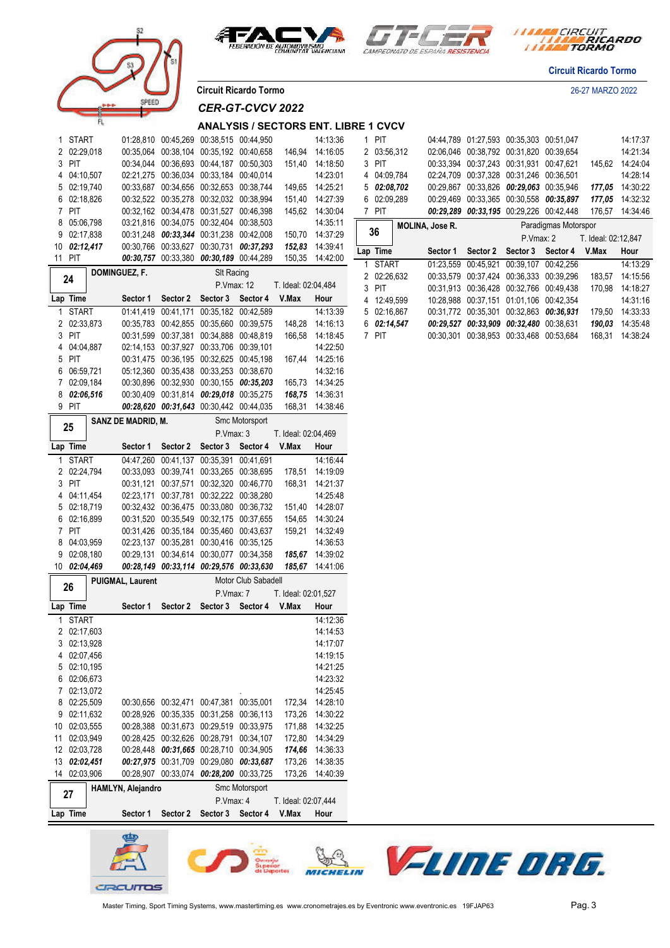







**Circuit Ricardo Tormo**

**Circuit Ricardo Tormo** 26-27 MARZO 2022

## *CER-GT-CVCV 2022*

#### **ANALYSIS / SECTORS ENT. LIBRE 1 CVCV**

| 1 START                     |                    | 01:28,810 00:45,269 00:38,515 00:44,950                                            |                            |                     |                     | 14:13:36                           | 1 PIT       |                 |                   | 04:44,789 01:27,593 00:35,303 00:51,047 |                                         |                     | 14:17:37        |
|-----------------------------|--------------------|------------------------------------------------------------------------------------|----------------------------|---------------------|---------------------|------------------------------------|-------------|-----------------|-------------------|-----------------------------------------|-----------------------------------------|---------------------|-----------------|
| 2 02:29,018                 |                    | 00:35,064 00:38,104 00:35,192 00:40,658                                            |                            |                     |                     | 146,94 14:16:05                    | 2 03:56,312 |                 |                   | 02:06,046 00:38,792 00:31,820 00:39,654 |                                         |                     | 14:21:34        |
| 3 PIT                       |                    | 00:34.044 00:36.693 00:44.187 00:50.303                                            |                            |                     |                     | 151,40 14:18:50                    | 3 PIT       |                 |                   | 00:33,394 00:37,243 00:31,931 00:47,621 |                                         |                     | 145,62 14:24:04 |
| 4 04:10,507                 |                    | 02:21,275 00:36,034 00:33,184 00:40,014                                            |                            |                     |                     | 14:23:01                           | 4 04:09,784 |                 |                   | 02:24,709 00:37,328 00:31,246 00:36,501 |                                         |                     | 14:28:14        |
| 5 02:19,740                 |                    | 00:33,687 00:34,656 00:32,653 00:38,744                                            |                            |                     |                     | 149,65 14:25:21                    | 502:08,702  |                 |                   | 00:29,867 00:33,826 00:29,063 00:35,946 |                                         |                     | 177,05 14:30:22 |
| 6 02:18,826                 |                    | 00:32,522 00:35,278 00:32,032 00:38,994                                            |                            |                     |                     | 151,40 14:27:39                    | 6 02:09,289 |                 |                   |                                         | 00:29,469 00:33,365 00:30,558 00:35,897 |                     | 177,05 14:32:32 |
| 7 PIT                       |                    | 00:32,162 00:34,478 00:31,527 00:46,398                                            |                            |                     |                     | 145,62 14:30:04                    | 7 PIT       |                 |                   | 00:29,289 00:33,195 00:29,226 00:42,448 |                                         |                     | 176,57 14:34:46 |
| 8 05:06,798                 |                    | 03:21,816 00:34,075 00:32,404 00:38,503                                            |                            |                     |                     | 14:35:11                           |             | MOLINA, Jose R. |                   |                                         | Paradigmas Motorspor                    |                     |                 |
| 9 02:17,838                 |                    | 00:31,248 00:33,344 00:31,238 00:42,008                                            |                            |                     |                     | 150,70 14:37:29                    | 36          |                 |                   | P.Vmax: 2                               |                                         | T. Ideal: 02:12,847 |                 |
| 10 02:12,417                |                    | 00:30,766 00:33,627 00:30,731 00:37,293                                            |                            |                     |                     | 152,83 14:39:41                    | Lap Time    |                 | Sector 1 Sector 2 | Sector 3 Sector 4                       |                                         | V.Max               | Hour            |
| 11 PIT                      |                    | 00:30,757 00:33,380 00:30,189 00:44,289                                            |                            |                     |                     | 150,35 14:42:00                    | 1 START     |                 |                   | 01:23,559 00:45,921 00:39,107 00:42,256 |                                         |                     | 14:13:29        |
| 24                          | DOMINGUEZ, F.      |                                                                                    | SIt Racing                 |                     |                     |                                    | 2 02:26,632 |                 |                   | 00:33,579 00:37,424 00:36,333 00:39,296 |                                         |                     | 183,57 14:15:56 |
|                             |                    |                                                                                    |                            | P.Vmax: 12          | T. Ideal: 02:04,484 |                                    | 3 PIT       |                 |                   | 00:31,913 00:36,428 00:32,766 00:49,438 |                                         |                     | 170,98 14:18:27 |
| Lap Time                    |                    | Sector 1 Sector 2 Sector 3 Sector 4 V.Max                                          |                            |                     |                     | Hour                               | 4 12:49,599 |                 |                   | 10:28,988 00:37,151 01:01,106 00:42,354 |                                         |                     | 14:31:16        |
| 1 START                     |                    | 01:41,419 00:41,171 00:35,182 00:42,589                                            |                            |                     |                     | 14:13:39                           | 5 02:16,867 |                 |                   |                                         | 00:31,772 00:35,301 00:32,863 00:36,931 |                     | 179,50 14:33:33 |
| 2 02:33,873                 |                    | 00:35,783 00:42,855 00:35,660 00:39,575                                            |                            |                     |                     | 148,28 14:16:13                    | 6 02:14,547 |                 |                   | 00:29,527 00:33,909 00:32,480 00:38,631 |                                         |                     | 190,03 14:35:48 |
| 3 PIT                       |                    | 00:31,599 00:37,381 00:34,888 00:48,819                                            |                            |                     |                     | 166,58 14:18:45                    | 7 PIT       |                 |                   | 00:30,301 00:38,953 00:33,468 00:53,684 |                                         |                     | 168,31 14:38:24 |
| 4 04:04,887                 |                    | 02:14,153 00:37,927 00:33,706 00:39,101                                            |                            |                     |                     | 14:22:50                           |             |                 |                   |                                         |                                         |                     |                 |
| 5 PIT                       |                    | 00:31,475 00:36,195 00:32,625 00:45,198<br>05:12,360 00:35,438 00:33,253 00:38,670 |                            |                     |                     | 167,44 14:25:16<br>14:32:16        |             |                 |                   |                                         |                                         |                     |                 |
| 6 06:59,721<br>7 02:09,184  |                    | 00:30,896 00:32,930 00:30,155 00:35,203                                            |                            |                     |                     | 165,73 14:34:25                    |             |                 |                   |                                         |                                         |                     |                 |
| 8 02:06,516                 |                    | 00:30,409 00:31,814 00:29,018 00:35,275                                            |                            |                     |                     | 168,75 14:36:31                    |             |                 |                   |                                         |                                         |                     |                 |
| 9 PIT                       |                    | 00:28,620 00:31,643 00:30,442 00:44,035                                            |                            |                     |                     | 168,31 14:38:46                    |             |                 |                   |                                         |                                         |                     |                 |
|                             | SANZ DE MADRID, M. |                                                                                    |                            | Smc Motorsport      |                     |                                    |             |                 |                   |                                         |                                         |                     |                 |
| 25                          |                    |                                                                                    | P.Vmax: 3                  |                     | T. Ideal: 02:04,469 |                                    |             |                 |                   |                                         |                                         |                     |                 |
| Lap Time                    |                    | Sector 1 Sector 2 Sector 3 Sector 4 V.Max                                          |                            |                     |                     | Hour                               |             |                 |                   |                                         |                                         |                     |                 |
| 1 START                     |                    | 04:47,260 00:41,137 00:35,391 00:41,691                                            |                            |                     |                     | 14:16:44                           |             |                 |                   |                                         |                                         |                     |                 |
| 2 02:24,794                 |                    | 00:33,093 00:39,741 00:33,265 00:38,695                                            |                            |                     |                     | 178,51 14:19:09                    |             |                 |                   |                                         |                                         |                     |                 |
| 3 PIT                       |                    | 00:31,121 00:37,571 00:32,320 00:46,770                                            |                            |                     |                     | 168,31 14:21:37                    |             |                 |                   |                                         |                                         |                     |                 |
| 4 04:11,454                 |                    | 02:23,171 00:37,781 00:32,222 00:38,280                                            |                            |                     |                     | 14:25:48                           |             |                 |                   |                                         |                                         |                     |                 |
| 5 02:18,719                 |                    | 00:32,432 00:36,475 00:33,080 00:36,732                                            |                            |                     |                     | 151,40 14:28:07                    |             |                 |                   |                                         |                                         |                     |                 |
| 6 02:16,899                 |                    | 00:31,520 00:35,549 00:32,175 00:37,655                                            |                            |                     |                     | 154,65 14:30:24                    |             |                 |                   |                                         |                                         |                     |                 |
| 7 PIT                       |                    | 00:31,426 00:35,184 00:35,460 00:43,637                                            |                            |                     |                     | 159,21 14:32:49                    |             |                 |                   |                                         |                                         |                     |                 |
| 8 04:03,959                 |                    | 02:23,137 00:35,281 00:30,416 00:35,125                                            |                            |                     |                     | 14:36:53                           |             |                 |                   |                                         |                                         |                     |                 |
| 9 02:08,180                 |                    | 00:29,131 00:34,614 00:30,077 00:34,358                                            |                            |                     |                     | 185,67 14:39:02                    |             |                 |                   |                                         |                                         |                     |                 |
| 10 02:04,469                |                    | 00:28,149 00:33,114 00:29,576 00:33,630                                            |                            |                     |                     | 185,67 14:41:06                    |             |                 |                   |                                         |                                         |                     |                 |
| 26                          | PUIGMAL, Laurent   |                                                                                    |                            | Motor Club Sabadell |                     |                                    |             |                 |                   |                                         |                                         |                     |                 |
|                             |                    |                                                                                    | P.Vmax: 7                  |                     | T. Ideal: 02:01,527 |                                    |             |                 |                   |                                         |                                         |                     |                 |
| Lap Time                    |                    | Sector 1 Sector 2 Sector 3 Sector 4 V.Max                                          |                            |                     |                     | Hour                               |             |                 |                   |                                         |                                         |                     |                 |
| 1 START                     |                    |                                                                                    |                            |                     |                     | 14:12:36                           |             |                 |                   |                                         |                                         |                     |                 |
| 2 02:17,603                 |                    |                                                                                    |                            |                     |                     | 14:14:53                           |             |                 |                   |                                         |                                         |                     |                 |
| 3 02:13,928                 |                    |                                                                                    |                            |                     |                     | 14:17:07                           |             |                 |                   |                                         |                                         |                     |                 |
| 4 02:07,456                 |                    |                                                                                    |                            |                     |                     | 14:19:15                           |             |                 |                   |                                         |                                         |                     |                 |
| 5 02:10,195                 |                    |                                                                                    |                            |                     |                     | 14:21:25                           |             |                 |                   |                                         |                                         |                     |                 |
| 6 02:06,673                 |                    |                                                                                    |                            |                     |                     | 14:23:32                           |             |                 |                   |                                         |                                         |                     |                 |
| 7 02:13,072                 |                    |                                                                                    |                            |                     |                     | 14:25:45                           |             |                 |                   |                                         |                                         |                     |                 |
| 8 02:25,509                 |                    | 00:30,656 00:32,471 00:47,381 00:35,001                                            |                            |                     |                     | 172,34 14:28:10                    |             |                 |                   |                                         |                                         |                     |                 |
| 9 02:11,632<br>10 02:03,555 |                    | 00:28,926 00:35,335 00:31,258 00:36,113<br>00:28,388 00:31,673 00:29,519 00:33,975 |                            |                     |                     | 173,26 14:30:22<br>171,88 14:32:25 |             |                 |                   |                                         |                                         |                     |                 |
| 11 02:03,949                |                    | 00:28,425 00:32,626 00:28,791 00:34,107                                            |                            |                     |                     | 172,80 14:34:29                    |             |                 |                   |                                         |                                         |                     |                 |
| 12 02:03,728                |                    | 00:28,448 00:31,665 00:28,710 00:34,905                                            |                            |                     |                     | 174,66 14:36:33                    |             |                 |                   |                                         |                                         |                     |                 |
| 13 02:02,451                |                    | 00:27,975 00:31,709 00:29,080 00:33,687                                            |                            |                     |                     | 173,26 14:38:35                    |             |                 |                   |                                         |                                         |                     |                 |
| 14 02:03,906                |                    | 00:28,907 00:33,074 00:28,200 00:33,725                                            |                            |                     |                     | 173,26 14:40:39                    |             |                 |                   |                                         |                                         |                     |                 |
|                             | HAMLYN, Alejandro  |                                                                                    |                            | Smc Motorsport      |                     |                                    |             |                 |                   |                                         |                                         |                     |                 |
| 27                          |                    |                                                                                    | P.Vmax: 4                  |                     | T. Ideal: 02:07,444 |                                    |             |                 |                   |                                         |                                         |                     |                 |
| Lap Time                    | Sector 1           |                                                                                    | Sector 2 Sector 3 Sector 4 |                     | V.Max               | Hour                               |             |                 |                   |                                         |                                         |                     |                 |
|                             |                    |                                                                                    |                            |                     |                     |                                    |             |                 |                   |                                         |                                         |                     |                 |

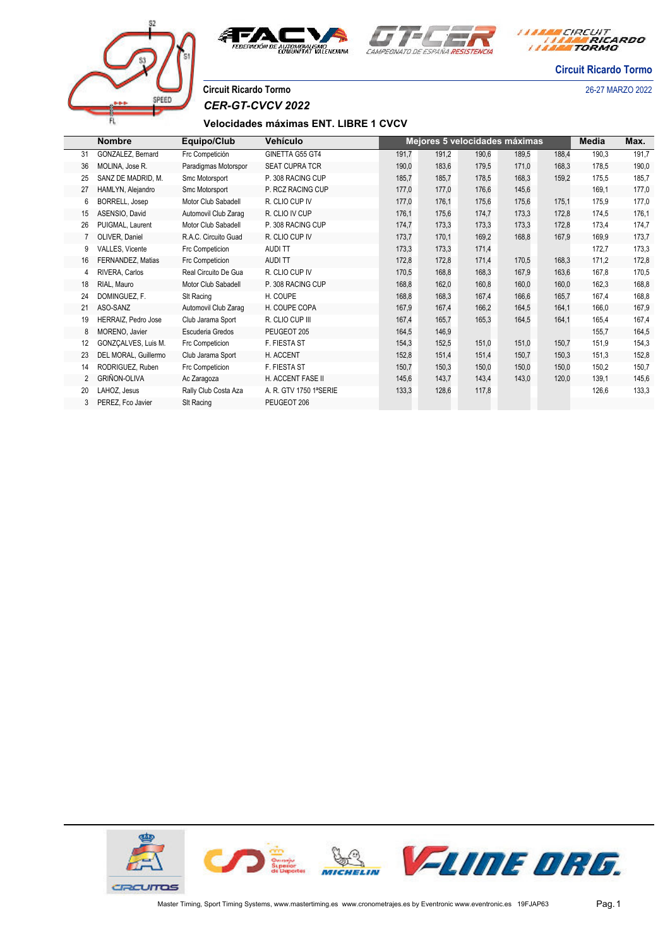



*I TARA CIRCUIT<br>TARA RICARDO* 

**Circuit Ricardo Tormo**

# COFFI

**Circuit Ricardo Tormo** 26-27 MARZO 2022 *CER-GT-CVCV 2022*

## **Velocidades máximas ENT. LIBRE 1 CVCV**

|                | <b>Nombre</b>        | Equipo/Club          | Vehículo               |       |       |       | Mejores 5 velocidades máximas |       | Media | Max.  |
|----------------|----------------------|----------------------|------------------------|-------|-------|-------|-------------------------------|-------|-------|-------|
| 31             | GONZALEZ, Bernard    | Frc Competición      | GINETTA G55 GT4        | 191,7 | 191,2 | 190,6 | 189,5                         | 188,4 | 190,3 | 191,7 |
| 36             | MOLINA, Jose R.      | Paradigmas Motorspor | <b>SEAT CUPRA TCR</b>  | 190,0 | 183,6 | 179,5 | 171,0                         | 168,3 | 178,5 | 190,0 |
| 25             | SANZ DE MADRID, M.   | Smc Motorsport       | P. 308 RACING CUP      | 185,7 | 185,7 | 178,5 | 168,3                         | 159,2 | 175,5 | 185,7 |
| 27             | HAMLYN, Alejandro    | Smc Motorsport       | P. RCZ RACING CUP      | 177,0 | 177,0 | 176,6 | 145,6                         |       | 169,1 | 177,0 |
| 6              | BORRELL, Josep       | Motor Club Sabadell  | R. CLIO CUP IV         | 177,0 | 176,1 | 175,6 | 175,6                         | 175,1 | 175,9 | 177,0 |
| 15             | ASENSIO, David       | Automovil Club Zaraq | R. CLIO IV CUP         | 176,1 | 175,6 | 174,7 | 173,3                         | 172,8 | 174,5 | 176,1 |
| 26             | PUIGMAL, Laurent     | Motor Club Sabadell  | P. 308 RACING CUP      | 174,7 | 173,3 | 173,3 | 173,3                         | 172,8 | 173,4 | 174,7 |
|                | OLIVER, Daniel       | R.A.C. Circuito Guad | R. CLIO CUP IV         | 173,7 | 170,1 | 169,2 | 168,8                         | 167,9 | 169,9 | 173,7 |
| 9              | VALLES, Vicente      | Frc Competicion      | AUDI TT                | 173,3 | 173,3 | 171,4 |                               |       | 172,7 | 173,3 |
| 16             | FERNANDEZ, Matias    | Frc Competicion      | AUDI TT                | 172,8 | 172,8 | 171,4 | 170,5                         | 168,3 | 171,2 | 172,8 |
|                | RIVERA, Carlos       | Real Circuito De Gua | R. CLIO CUP IV         | 170,5 | 168,8 | 168,3 | 167,9                         | 163,6 | 167,8 | 170,5 |
| 18             | RIAL, Mauro          | Motor Club Sabadell  | P. 308 RACING CUP      | 168,8 | 162,0 | 160,8 | 160,0                         | 160,0 | 162,3 | 168,8 |
| 24             | DOMINGUEZ, F.        | SIt Racing           | H. COUPE               | 168,8 | 168,3 | 167,4 | 166,6                         | 165,7 | 167,4 | 168,8 |
| 21             | ASO-SANZ             | Automovil Club Zaraq | H. COUPE COPA          | 167,9 | 167,4 | 166,2 | 164,5                         | 164,1 | 166,0 | 167,9 |
| 19             | HERRAIZ, Pedro Jose  | Club Jarama Sport    | R. CLIO CUP III        | 167,4 | 165,7 | 165,3 | 164,5                         | 164,1 | 165,4 | 167,4 |
| 8              | MORENO, Javier       | Escuderia Gredos     | PEUGEOT 205            | 164,5 | 146,9 |       |                               |       | 155,7 | 164,5 |
| 12             | GONZÇALVES, Luis M.  | Frc Competicion      | F. FIESTA ST           | 154,3 | 152,5 | 151,0 | 151,0                         | 150,7 | 151,9 | 154,3 |
| 23             | DEL MORAL, Guillermo | Club Jarama Sport    | H. ACCENT              | 152,8 | 151,4 | 151,4 | 150,7                         | 150,3 | 151,3 | 152,8 |
| 14             | RODRIGUEZ, Ruben     | Frc Competicion      | F. FIESTA ST           | 150,7 | 150,3 | 150,0 | 150,0                         | 150,0 | 150,2 | 150,7 |
| $\overline{2}$ | <b>GRIÑON-OLIVA</b>  | Ac Zaragoza          | H. ACCENT FASE II      | 145,6 | 143,7 | 143,4 | 143,0                         | 120,0 | 139,1 | 145,6 |
| 20             | LAHOZ, Jesus         | Rally Club Costa Aza | A. R. GTV 1750 1ªSERIE | 133,3 | 128,6 | 117,8 |                               |       | 126,6 | 133,3 |
|                | PEREZ, Fco Javier    | SIt Racing           | PEUGEOT 206            |       |       |       |                               |       |       |       |